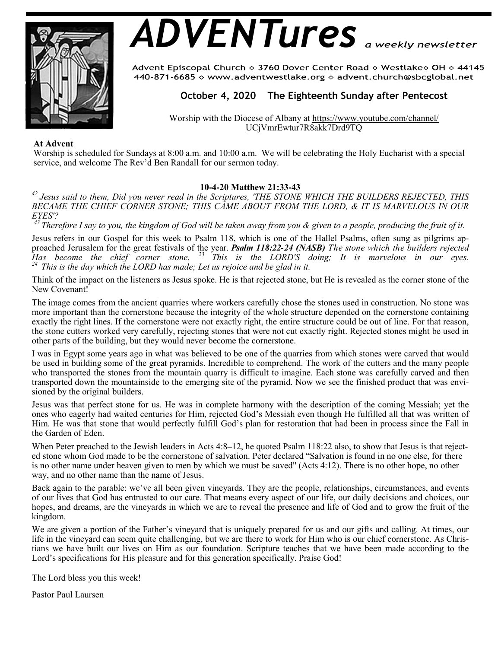

# *ADVENTures*

Advent Episcopal Church ◇ 3760 Dover Center Road ◇ Westlake◇ OH ◇ 44145 440-871-6685  $\diamond$  www.adventwestlake.org  $\diamond$  advent.church@sbcglobal.net

# **October 4, 2020 The Eighteenth Sunday after Pentecost**

Worship with the Diocese of Albany at https://www.youtube.com/channel/ UCjVmrEwtur7R8akk7Drd9TQ

#### **At Advent**

Worship is scheduled for Sundays at 8:00 a.m. and 10:00 a.m. We will be celebrating the Holy Eucharist with a special service, and welcome The Rev'd Ben Randall for our sermon today.

#### **10-4-20 Matthew 21:33-43**

*<sup>42</sup>Jesus said to them, Did you never read in the Scriptures, 'THE STONE WHICH THE BUILDERS REJECTED, THIS BECAME THE CHIEF CORNER STONE; THIS CAME ABOUT FROM THE LORD, & IT IS MARVELOUS IN OUR EYES'?*

*<sup>43</sup>Therefore I say to you, the kingdom of God will be taken away from you & given to a people, producing the fruit of it.*

Jesus refers in our Gospel for this week to Psalm 118, which is one of the Hallel Psalms, often sung as pilgrims approached Jerusalem for the great festivals of the year. *Psalm 118:22-24 (NASB) The stone which the builders rejected Has become the chief corner stone. <sup>23</sup>This is the LORD'S doing; It is marvelous in our eyes. <sup>24</sup>This is the day which the LORD has made; Let us rejoice and be glad in it.* 

Think of the impact on the listeners as Jesus spoke. He is that rejected stone, but He is revealed as the corner stone of the New Covenant!

The image comes from the ancient quarries where workers carefully chose the stones used in construction. No stone was more important than the cornerstone because the integrity of the whole structure depended on the cornerstone containing exactly the right lines. If the cornerstone were not exactly right, the entire structure could be out of line. For that reason, the stone cutters worked very carefully, rejecting stones that were not cut exactly right. Rejected stones might be used in other parts of the building, but they would never become the cornerstone.

I was in Egypt some years ago in what was believed to be one of the quarries from which stones were carved that would be used in building some of the great pyramids. Incredible to comprehend. The work of the cutters and the many people who transported the stones from the mountain quarry is difficult to imagine. Each stone was carefully carved and then transported down the mountainside to the emerging site of the pyramid. Now we see the finished product that was envisioned by the original builders.

Jesus was that perfect stone for us. He was in complete harmony with the description of the coming Messiah; yet the ones who eagerly had waited centuries for Him, rejected God's Messiah even though He fulfilled all that was written of Him. He was that stone that would perfectly fulfill God's plan for restoration that had been in process since the Fall in the Garden of Eden.

When Peter preached to the Jewish leaders in Acts 4:8–12, he quoted Psalm 118:22 also, to show that Jesus is that rejected stone whom God made to be the cornerstone of salvation. Peter declared "Salvation is found in no one else, for there is no other name under heaven given to men by which we must be saved" (Acts 4:12). There is no other hope, no other way, and no other name than the name of Jesus.

Back again to the parable: we've all been given vineyards. They are the people, relationships, circumstances, and events of our lives that God has entrusted to our care. That means every aspect of our life, our daily decisions and choices, our hopes, and dreams, are the vineyards in which we are to reveal the presence and life of God and to grow the fruit of the kingdom.

We are given a portion of the Father's vineyard that is uniquely prepared for us and our gifts and calling. At times, our life in the vineyard can seem quite challenging, but we are there to work for Him who is our chief cornerstone. As Christians we have built our lives on Him as our foundation. Scripture teaches that we have been made according to the Lord's specifications for His pleasure and for this generation specifically. Praise God!

The Lord bless you this week!

Pastor Paul Laursen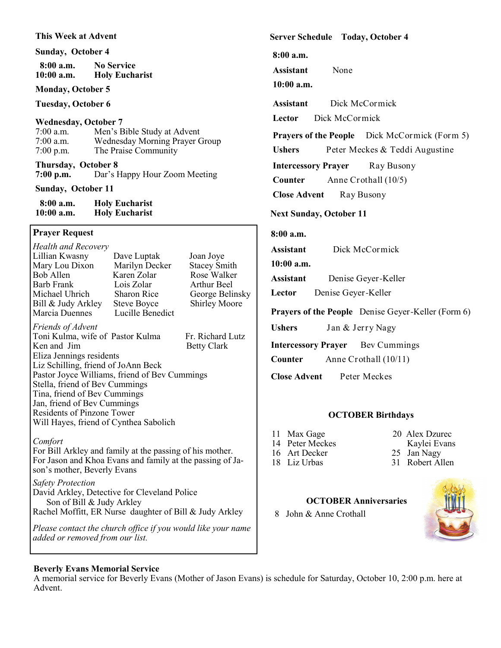#### **This Week at Advent**

#### **Sunday, October 4**

| $8:00$ a.m.  | <b>No Service</b>     |  |
|--------------|-----------------------|--|
| $10:00$ a.m. | <b>Holy Eucharist</b> |  |

#### **Monday, October 5**

**Tuesday, October 6**

#### **Wednesday, October 7**

| $7:00$ a.m. | Men's Bible Study at Advent    |
|-------------|--------------------------------|
| $7:00$ a.m. | Wednesday Morning Prayer Group |
| $7:00$ p.m. | The Praise Community           |

**Thursday, October 8 7:00 p.m.** Dar's Happy Hour Zoom Meeting

## **Sunday, October 11**

| $8:00$ a.m.  | <b>Holy Eucharist</b> |
|--------------|-----------------------|
| $10:00$ a.m. | <b>Holy Eucharist</b> |

## **Prayer Request**

| <b>Health and Recovery</b>                                |                    |                      |  |  |
|-----------------------------------------------------------|--------------------|----------------------|--|--|
| Lillian Kwasny                                            | Dave Luptak        | Joan Joye            |  |  |
| Mary Lou Dixon                                            | Marilyn Decker     | <b>Stacey Smith</b>  |  |  |
| Bob Allen                                                 | Karen Zolar        | Rose Walker          |  |  |
| Barb Frank                                                | Lois Zolar         | Arthur Beel          |  |  |
| Michael Uhrich                                            | <b>Sharon Rice</b> | George Belinsky      |  |  |
| Bill & Judy Arkley                                        | <b>Steve Boyce</b> | <b>Shirley Moore</b> |  |  |
| Marcia Duennes                                            | Lucille Benedict   |                      |  |  |
| Friends of Advent                                         |                    |                      |  |  |
| Toni Kulma, wife of Pastor Kulma                          |                    | Fr. Richard Lutz     |  |  |
| Ken and Jim                                               |                    | <b>Betty Clark</b>   |  |  |
| Eliza Jennings residents                                  |                    |                      |  |  |
| Liz Schilling, friend of JoAnn Beck                       |                    |                      |  |  |
| Pastor Joyce Williams, friend of Bev Cummings             |                    |                      |  |  |
| Stella, friend of Bev Cummings                            |                    |                      |  |  |
| Tina, friend of Bev Cummings                              |                    |                      |  |  |
| Jan, friend of Bev Cummings                               |                    |                      |  |  |
| <b>Residents of Pinzone Tower</b>                         |                    |                      |  |  |
| Will Hayes, friend of Cynthea Sabolich                    |                    |                      |  |  |
|                                                           |                    |                      |  |  |
| Comfort                                                   |                    |                      |  |  |
| For Bill Arkley and family at the passing of his mother.  |                    |                      |  |  |
| For Jason and Khoa Evans and family at the passing of Ja- |                    |                      |  |  |
| son's mother, Beverly Evans                               |                    |                      |  |  |
| <b>Safety Protection</b>                                  |                    |                      |  |  |
| Dovid Artilor Detective for Cleveland Delice              |                    |                      |  |  |

David Arkley, Detective for Cleveland Police Son of Bill & Judy Arkley Rachel Moffitt, ER Nurse daughter of Bill & Judy Arkley

*Please contact the church office if you would like your name added or removed from our list.*

## **Server Schedule Today, October 4**

**8:00 a.m.** 

**Assistant** None

# **10:00 a.m.**

**Assistant** Dick McCormick Lector Dick McCormick

**Prayers of the People** Dick McCormick (Form 5)

Ushers Peter Meckes & Teddi Augustine

**Intercessory Prayer** Ray Busony

**Counter** Anne Crothall (10/5)

**Close Advent Ray Busony** 

## **Next Sunday, October 11**

## **8:00 a.m.**

**Assistant** Dick McCormick

**10:00 a.m.**

**Assistant** Denise Geyer-Keller

**Lector** Denise Geyer-Keller

**Prayers of the People** Denise Geyer-Keller (Form 6)

**Ushers** Jan & Jerry Nagy

**Intercessory Prayer** Bev Cummings

**Counter** Anne Crothall (10/11)

**Close Advent** Peter Meckes

## **OCTOBER Birthdays**

- 11 Max Gage 20 Alex Dzurec
	-
- 14 Peter Meckes Kaylei Evans<br>
16 Art Decker 25 Jan Nagy

 **OCTOBER Anniversaries**

- 25 Jan Nagy
- 18 Liz Urbas 31 Robert Allen
	-
- 8 John & Anne Crothall



A memorial service for Beverly Evans (Mother of Jason Evans) is schedule for Saturday, October 10, 2:00 p.m. here at Advent.